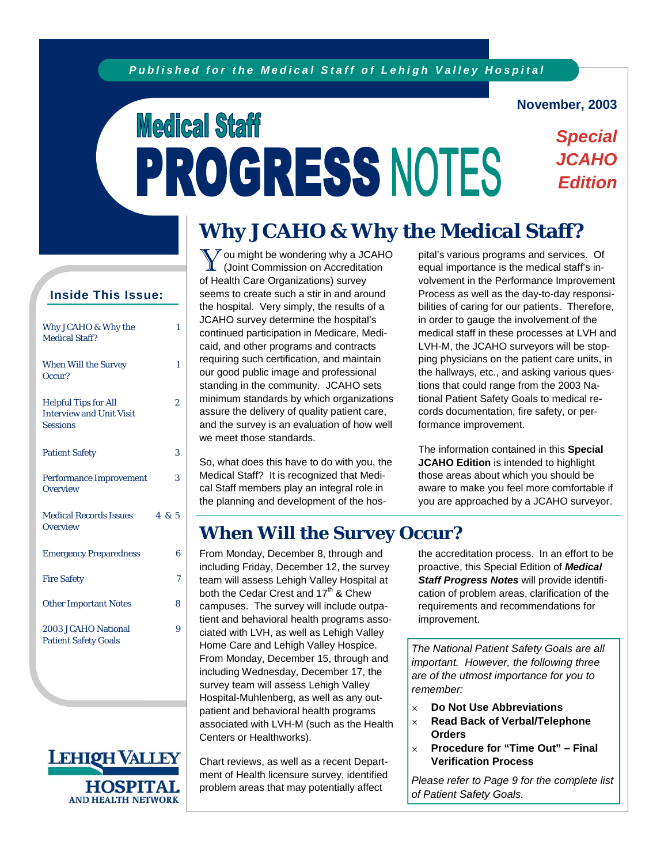#### **November, 2003**

*Special JCAHO* 

*Edition* 

# **Medical Staff** PROGRESS NOTES

# **Why JCAHO & Why the Medical Staff?**

#### **Inside This Issue:**

| Why JCAHO & Why the<br>Medical Staff?                                             |     | 1 |
|-----------------------------------------------------------------------------------|-----|---|
| <b>When Will the Survey</b><br>Occur?                                             |     | 1 |
| <b>Helpful Tips for All</b><br><b>Interview and Unit Visit</b><br><b>Sessions</b> |     | 2 |
| <b>Patient Safety</b>                                                             |     | 3 |
| <b>Performance Improvement</b><br>Overview                                        |     | 3 |
| <b>Medical Records Issues</b><br>Overview                                         | 485 |   |
| <b>Emergency Preparedness</b>                                                     |     | 6 |
| <b>Fire Safety</b>                                                                |     | 7 |
| <b>Other Important Notes</b>                                                      |     | 8 |
| 2003 JCAHO National<br><b>Patient Safety Goals</b>                                |     | 9 |



You might be wondering why a JCAHO (Joint Commission on Accreditation of Health Care Organizations) survey seems to create such a stir in and around the hospital. Very simply, the results of a JCAHO survey determine the hospital's continued participation in Medicare, Medicaid, and other programs and contracts requiring such certification, and maintain our good public image and professional standing in the community. JCAHO sets minimum standards by which organizations assure the delivery of quality patient care, and the survey is an evaluation of how well we meet those standards.

So, what does this have to do with you, the Medical Staff? It is recognized that Medical Staff members play an integral role in the planning and development of the hospital's various programs and services. Of equal importance is the medical staff's involvement in the Performance Improvement Process as well as the day-to-day responsibilities of caring for our patients. Therefore, in order to gauge the involvement of the medical staff in these processes at LVH and LVH-M, the JCAHO surveyors will be stopping physicians on the patient care units, in the hallways, etc., and asking various questions that could range from the 2003 National Patient Safety Goals to medical records documentation, fire safety, or performance improvement.

The information contained in this **Special JCAHO Edition** is intended to highlight those areas about which you should be aware to make you feel more comfortable if you are approached by a JCAHO surveyor.

# **When Will the Survey Occur?**

From Monday, December 8, through and including Friday, December 12, the survey team will assess Lehigh Valley Hospital at both the Cedar Crest and 17<sup>th</sup> & Chew campuses. The survey will include outpatient and behavioral health programs associated with LVH, as well as Lehigh Valley Home Care and Lehigh Valley Hospice. From Monday, December 15, through and including Wednesday, December 17, the survey team will assess Lehigh Valley Hospital-Muhlenberg, as well as any outpatient and behavioral health programs associated with LVH-M (such as the Health Centers or Healthworks).

Chart reviews, as well as a recent Department of Health licensure survey, identified problem areas that may potentially affect

the accreditation process. In an effort to be proactive, this Special Edition of *Medical Staff Progress Notes* will provide identification of problem areas, clarification of the requirements and recommendations for improvement.

*The National Patient Safety Goals are all important. However, the following three are of the utmost importance for you to remember:* 

- **Do Not Use Abbreviations**
- **Read Back of Verbal/Telephone Orders**
- **Procedure for "Time Out" Final Verification Process**

*Please refer to Page 9 for the complete list of Patient Safety Goals.*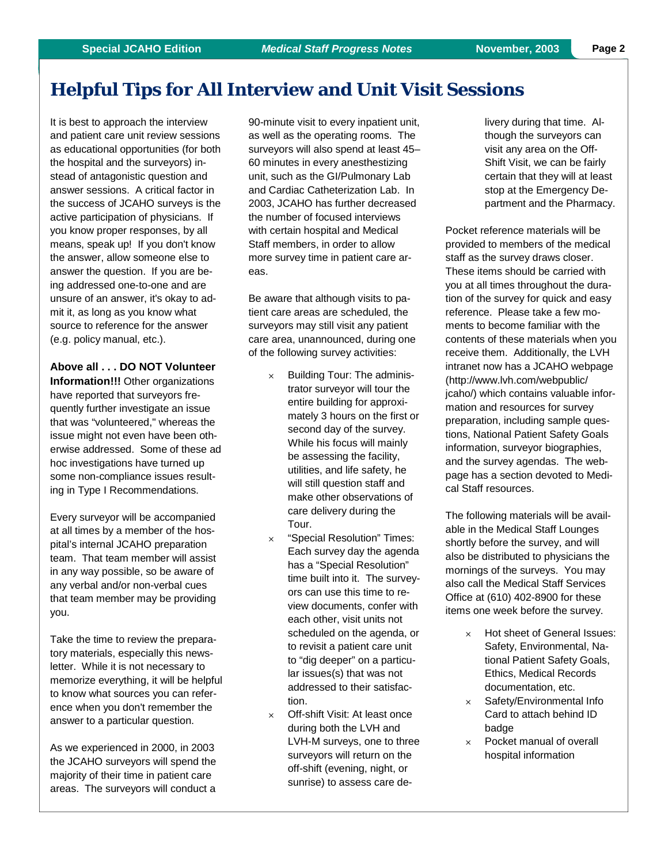# **Helpful Tips for All Interview and Unit Visit Sessions**

It is best to approach the interview and patient care unit review sessions as educational opportunities (for both the hospital and the surveyors) instead of antagonistic question and answer sessions. A critical factor in the success of JCAHO surveys is the active participation of physicians. If you know proper responses, by all means, speak up! If you don't know the answer, allow someone else to answer the question. If you are being addressed one-to-one and are unsure of an answer, it's okay to admit it, as long as you know what source to reference for the answer (e.g. policy manual, etc.).

**Above all . . . DO NOT Volunteer** 

**Information!!!** Other organizations have reported that surveyors frequently further investigate an issue that was "volunteered," whereas the issue might not even have been otherwise addressed. Some of these ad hoc investigations have turned up some non-compliance issues resulting in Type I Recommendations.

Every surveyor will be accompanied at all times by a member of the hospital's internal JCAHO preparation team. That team member will assist in any way possible, so be aware of any verbal and/or non-verbal cues that team member may be providing you.

Take the time to review the preparatory materials, especially this newsletter. While it is not necessary to memorize everything, it will be helpful to know what sources you can reference when you don't remember the answer to a particular question.

As we experienced in 2000, in 2003 the JCAHO surveyors will spend the majority of their time in patient care areas. The surveyors will conduct a

90-minute visit to every inpatient unit, as well as the operating rooms. The surveyors will also spend at least 45– 60 minutes in every anesthestizing unit, such as the GI/Pulmonary Lab and Cardiac Catheterization Lab. In 2003, JCAHO has further decreased the number of focused interviews with certain hospital and Medical Staff members, in order to allow more survey time in patient care areas.

Be aware that although visits to patient care areas are scheduled, the surveyors may still visit any patient care area, unannounced, during one of the following survey activities:

- $\times$  Building Tour: The administrator surveyor will tour the entire building for approximately 3 hours on the first or second day of the survey. While his focus will mainly be assessing the facility, utilities, and life safety, he will still question staff and make other observations of care delivery during the Tour.
- $\times$  "Special Resolution" Times: Each survey day the agenda has a "Special Resolution" time built into it. The surveyors can use this time to review documents, confer with each other, visit units not scheduled on the agenda, or to revisit a patient care unit to "dig deeper" on a particular issues(s) that was not addressed to their satisfaction.
- $\times$  Off-shift Visit: At least once during both the LVH and LVH-M surveys, one to three surveyors will return on the off-shift (evening, night, or sunrise) to assess care de-

livery during that time. Although the surveyors can visit any area on the Off-Shift Visit, we can be fairly certain that they will at least stop at the Emergency Department and the Pharmacy.

Pocket reference materials will be provided to members of the medical staff as the survey draws closer. These items should be carried with you at all times throughout the duration of the survey for quick and easy reference. Please take a few moments to become familiar with the contents of these materials when you receive them. Additionally, the LVH intranet now has a JCAHO webpage (http://www.lvh.com/webpublic/ jcaho/) which contains valuable information and resources for survey preparation, including sample questions, National Patient Safety Goals information, surveyor biographies, and the survey agendas. The webpage has a section devoted to Medical Staff resources.

The following materials will be available in the Medical Staff Lounges shortly before the survey, and will also be distributed to physicians the mornings of the surveys. You may also call the Medical Staff Services Office at (610) 402-8900 for these items one week before the survey.

- Hot sheet of General Issues: Safety, Environmental, National Patient Safety Goals, Ethics, Medical Records documentation, etc.
- $\times$  Safety/Environmental Info Card to attach behind ID badge
- $\times$  Pocket manual of overall hospital information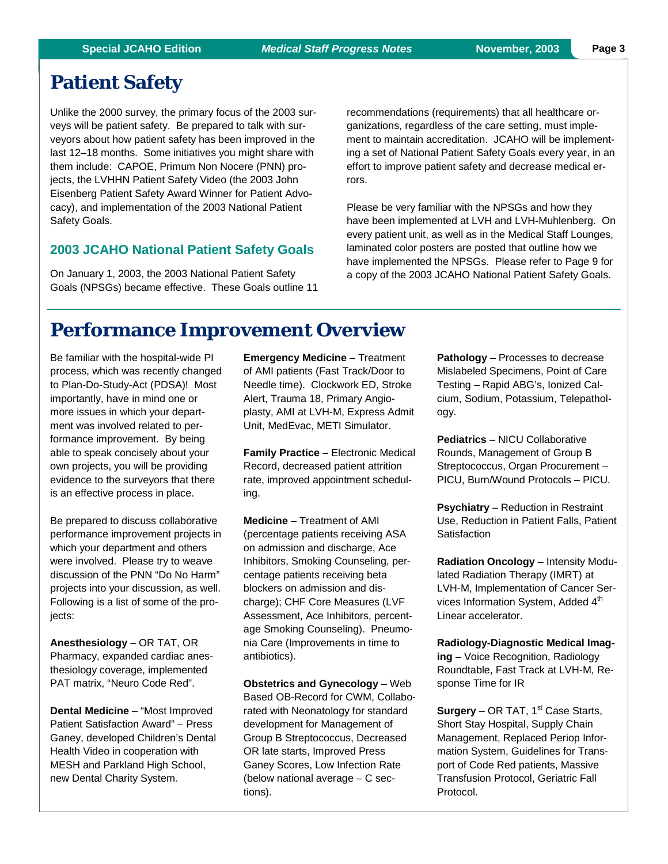# **Patient Safety**

Unlike the 2000 survey, the primary focus of the 2003 surveys will be patient safety. Be prepared to talk with surveyors about how patient safety has been improved in the last 12–18 months. Some initiatives you might share with them include: CAPOE, Primum Non Nocere (PNN) projects, the LVHHN Patient Safety Video (the 2003 John Eisenberg Patient Safety Award Winner for Patient Advocacy), and implementation of the 2003 National Patient Safety Goals.

#### **2003 JCAHO National Patient Safety Goals**

On January 1, 2003, the 2003 National Patient Safety Goals (NPSGs) became effective. These Goals outline 11

recommendations (requirements) that all healthcare organizations, regardless of the care setting, must implement to maintain accreditation. JCAHO will be implementing a set of National Patient Safety Goals every year, in an effort to improve patient safety and decrease medical errors.

Please be very familiar with the NPSGs and how they have been implemented at LVH and LVH-Muhlenberg. On every patient unit, as well as in the Medical Staff Lounges, laminated color posters are posted that outline how we have implemented the NPSGs. Please refer to Page 9 for a copy of the 2003 JCAHO National Patient Safety Goals.

### **Performance Improvement Overview**

Be familiar with the hospital-wide PI process, which was recently changed to Plan-Do-Study-Act (PDSA)! Most importantly, have in mind one or more issues in which your department was involved related to performance improvement. By being able to speak concisely about your own projects, you will be providing evidence to the surveyors that there is an effective process in place.

Be prepared to discuss collaborative performance improvement projects in which your department and others were involved. Please try to weave discussion of the PNN "Do No Harm" projects into your discussion, as well. Following is a list of some of the projects:

**Anesthesiology** – OR TAT, OR Pharmacy, expanded cardiac anesthesiology coverage, implemented PAT matrix, "Neuro Code Red".

**Dental Medicine** – "Most Improved Patient Satisfaction Award" – Press Ganey, developed Children's Dental Health Video in cooperation with MESH and Parkland High School, new Dental Charity System.

**Emergency Medicine** – Treatment of AMI patients (Fast Track/Door to Needle time). Clockwork ED, Stroke Alert, Trauma 18, Primary Angioplasty, AMI at LVH-M, Express Admit Unit, MedEvac, METI Simulator.

**Family Practice** – Electronic Medical Record, decreased patient attrition rate, improved appointment scheduling.

**Medicine** – Treatment of AMI (percentage patients receiving ASA on admission and discharge, Ace Inhibitors, Smoking Counseling, percentage patients receiving beta blockers on admission and discharge); CHF Core Measures (LVF Assessment, Ace Inhibitors, percentage Smoking Counseling). Pneumonia Care (Improvements in time to antibiotics).

**Obstetrics and Gynecology** – Web Based OB-Record for CWM, Collaborated with Neonatology for standard development for Management of Group B Streptococcus, Decreased OR late starts, Improved Press Ganey Scores, Low Infection Rate (below national average – C sections).

**Pathology** – Processes to decrease Mislabeled Specimens, Point of Care Testing – Rapid ABG's, Ionized Calcium, Sodium, Potassium, Telepathology.

**Pediatrics** – NICU Collaborative Rounds, Management of Group B Streptococcus, Organ Procurement – PICU, Burn/Wound Protocols – PICU.

**Psychiatry** – Reduction in Restraint Use, Reduction in Patient Falls, Patient **Satisfaction** 

**Radiation Oncology** – Intensity Modulated Radiation Therapy (IMRT) at LVH-M, Implementation of Cancer Services Information System, Added 4<sup>th</sup> Linear accelerator.

**Radiology-Diagnostic Medical Imaging** – Voice Recognition, Radiology Roundtable, Fast Track at LVH-M, Response Time for IR

**Surgery** – OR TAT, 1<sup>st</sup> Case Starts, Short Stay Hospital, Supply Chain Management, Replaced Periop Information System, Guidelines for Transport of Code Red patients, Massive Transfusion Protocol, Geriatric Fall Protocol.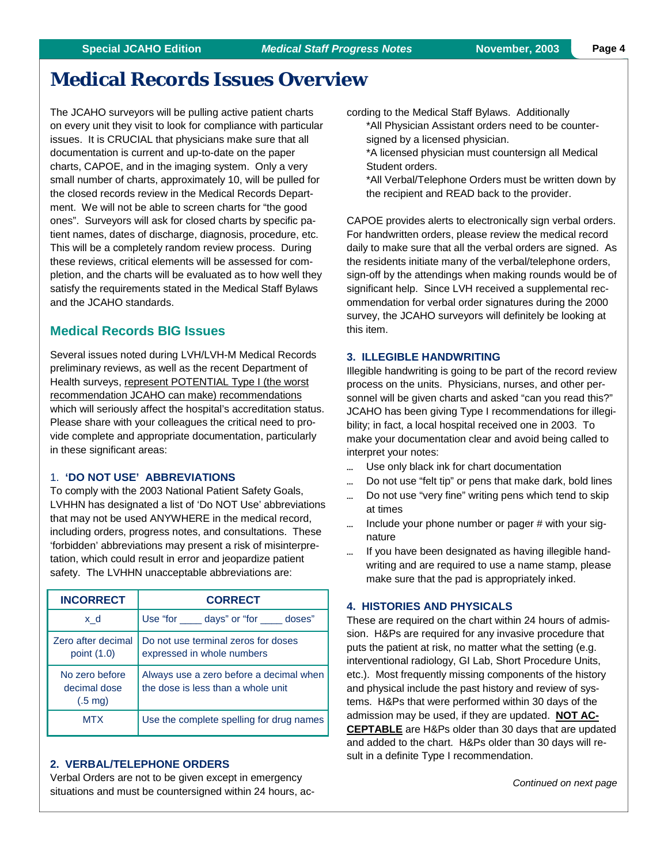# **Medical Records Issues Overview**

The JCAHO surveyors will be pulling active patient charts on every unit they visit to look for compliance with particular issues. It is CRUCIAL that physicians make sure that all documentation is current and up-to-date on the paper charts, CAPOE, and in the imaging system. Only a very small number of charts, approximately 10, will be pulled for the closed records review in the Medical Records Department. We will not be able to screen charts for "the good ones". Surveyors will ask for closed charts by specific patient names, dates of discharge, diagnosis, procedure, etc. This will be a completely random review process. During these reviews, critical elements will be assessed for completion, and the charts will be evaluated as to how well they satisfy the requirements stated in the Medical Staff Bylaws and the JCAHO standards.

#### **Medical Records BIG Issues**

Several issues noted during LVH/LVH-M Medical Records preliminary reviews, as well as the recent Department of Health surveys, represent POTENTIAL Type I (the worst recommendation JCAHO can make) recommendations which will seriously affect the hospital's accreditation status. Please share with your colleagues the critical need to provide complete and appropriate documentation, particularly in these significant areas:

#### 1. **'DO NOT USE' ABBREVIATIONS**

To comply with the 2003 National Patient Safety Goals, LVHHN has designated a list of 'Do NOT Use' abbreviations that may not be used ANYWHERE in the medical record, including orders, progress notes, and consultations. These 'forbidden' abbreviations may present a risk of misinterpretation, which could result in error and jeopardize patient safety. The LVHHN unacceptable abbreviations are:

| <b>INCORRECT</b>                                    | <b>CORRECT</b>                                                                |  |
|-----------------------------------------------------|-------------------------------------------------------------------------------|--|
| x d                                                 | Use "for <u>equilibrary</u> days" or "for ellem doses"                        |  |
| Zero after decimal<br>point (1.0)                   | Do not use terminal zeros for doses<br>expressed in whole numbers             |  |
| No zero before<br>decimal dose<br>$(.5 \text{ mg})$ | Always use a zero before a decimal when<br>the dose is less than a whole unit |  |
| <b>MTX</b>                                          | Use the complete spelling for drug names                                      |  |

#### **2. VERBAL/TELEPHONE ORDERS**

Verbal Orders are not to be given except in emergency situations and must be countersigned within 24 hours, according to the Medical Staff Bylaws. Additionally \*All Physician Assistant orders need to be countersigned by a licensed physician.

\*A licensed physician must countersign all Medical Student orders.

\*All Verbal/Telephone Orders must be written down by the recipient and READ back to the provider.

CAPOE provides alerts to electronically sign verbal orders. For handwritten orders, please review the medical record daily to make sure that all the verbal orders are signed. As the residents initiate many of the verbal/telephone orders, sign-off by the attendings when making rounds would be of significant help. Since LVH received a supplemental recommendation for verbal order signatures during the 2000 survey, the JCAHO surveyors will definitely be looking at this item.

#### **3. ILLEGIBLE HANDWRITING**

Illegible handwriting is going to be part of the record review process on the units. Physicians, nurses, and other personnel will be given charts and asked "can you read this?" JCAHO has been giving Type I recommendations for illegibility; in fact, a local hospital received one in 2003. To make your documentation clear and avoid being called to interpret your notes:

- ... Use only black ink for chart documentation
- Do not use "felt tip" or pens that make dark, bold lines
- ... Do not use "very fine" writing pens which tend to skip at times
- $\ldots$  Include your phone number or pager # with your signature
- ... If you have been designated as having illegible handwriting and are required to use a name stamp, please make sure that the pad is appropriately inked.

#### **4. HISTORIES AND PHYSICALS**

These are required on the chart within 24 hours of admission. H&Ps are required for any invasive procedure that puts the patient at risk, no matter what the setting (e.g. interventional radiology, GI Lab, Short Procedure Units, etc.). Most frequently missing components of the history and physical include the past history and review of systems. H&Ps that were performed within 30 days of the admission may be used, if they are updated. **NOT AC-CEPTABLE** are H&Ps older than 30 days that are updated and added to the chart. H&Ps older than 30 days will result in a definite Type I recommendation.

*Continued on next page*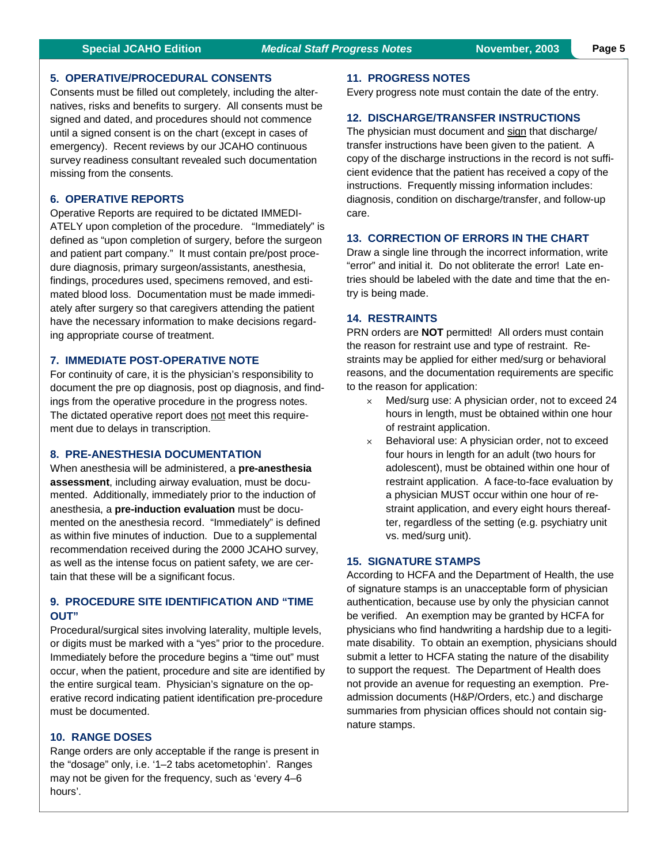#### **Special JCAHO Edition** *Medical Staff Progress Notes* **November, 2003 Page 5**

#### **5. OPERATIVE/PROCEDURAL CONSENTS**

Consents must be filled out completely, including the alternatives, risks and benefits to surgery. All consents must be signed and dated, and procedures should not commence until a signed consent is on the chart (except in cases of emergency). Recent reviews by our JCAHO continuous survey readiness consultant revealed such documentation missing from the consents.

#### **6. OPERATIVE REPORTS**

Operative Reports are required to be dictated IMMEDI-ATELY upon completion of the procedure. "Immediately" is defined as "upon completion of surgery, before the surgeon and patient part company." It must contain pre/post procedure diagnosis, primary surgeon/assistants, anesthesia, findings, procedures used, specimens removed, and estimated blood loss. Documentation must be made immediately after surgery so that caregivers attending the patient have the necessary information to make decisions regarding appropriate course of treatment.

#### **7. IMMEDIATE POST-OPERATIVE NOTE**

For continuity of care, it is the physician's responsibility to document the pre op diagnosis, post op diagnosis, and findings from the operative procedure in the progress notes. The dictated operative report does not meet this requirement due to delays in transcription.

#### **8. PRE-ANESTHESIA DOCUMENTATION**

When anesthesia will be administered, a **pre-anesthesia assessment**, including airway evaluation, must be documented. Additionally, immediately prior to the induction of anesthesia, a **pre-induction evaluation** must be documented on the anesthesia record. "Immediately" is defined as within five minutes of induction. Due to a supplemental recommendation received during the 2000 JCAHO survey, as well as the intense focus on patient safety, we are certain that these will be a significant focus.

#### **9. PROCEDURE SITE IDENTIFICATION AND "TIME OUT"**

Procedural/surgical sites involving laterality, multiple levels, or digits must be marked with a "yes" prior to the procedure. Immediately before the procedure begins a "time out" must occur, when the patient, procedure and site are identified by the entire surgical team. Physician's signature on the operative record indicating patient identification pre-procedure must be documented.

#### **10. RANGE DOSES**

Range orders are only acceptable if the range is present in the "dosage" only, i.e. '1–2 tabs acetometophin'. Ranges may not be given for the frequency, such as 'every 4–6 hours'.

#### **11. PROGRESS NOTES**

Every progress note must contain the date of the entry.

#### **12. DISCHARGE/TRANSFER INSTRUCTIONS**

The physician must document and sign that discharge/ transfer instructions have been given to the patient. A copy of the discharge instructions in the record is not sufficient evidence that the patient has received a copy of the instructions. Frequently missing information includes: diagnosis, condition on discharge/transfer, and follow-up care.

#### **13. CORRECTION OF ERRORS IN THE CHART**

Draw a single line through the incorrect information, write "error" and initial it. Do not obliterate the error! Late entries should be labeled with the date and time that the entry is being made.

#### **14. RESTRAINTS**

PRN orders are **NOT** permitted! All orders must contain the reason for restraint use and type of restraint. Restraints may be applied for either med/surg or behavioral reasons, and the documentation requirements are specific to the reason for application:

- $\times$  Med/surg use: A physician order, not to exceed 24 hours in length, must be obtained within one hour of restraint application.
- $\times$  Behavioral use: A physician order, not to exceed four hours in length for an adult (two hours for adolescent), must be obtained within one hour of restraint application. A face-to-face evaluation by a physician MUST occur within one hour of restraint application, and every eight hours thereafter, regardless of the setting (e.g. psychiatry unit vs. med/surg unit).

#### **15. SIGNATURE STAMPS**

According to HCFA and the Department of Health, the use of signature stamps is an unacceptable form of physician authentication, because use by only the physician cannot be verified. An exemption may be granted by HCFA for physicians who find handwriting a hardship due to a legitimate disability. To obtain an exemption, physicians should submit a letter to HCFA stating the nature of the disability to support the request. The Department of Health does not provide an avenue for requesting an exemption. Preadmission documents (H&P/Orders, etc.) and discharge summaries from physician offices should not contain signature stamps.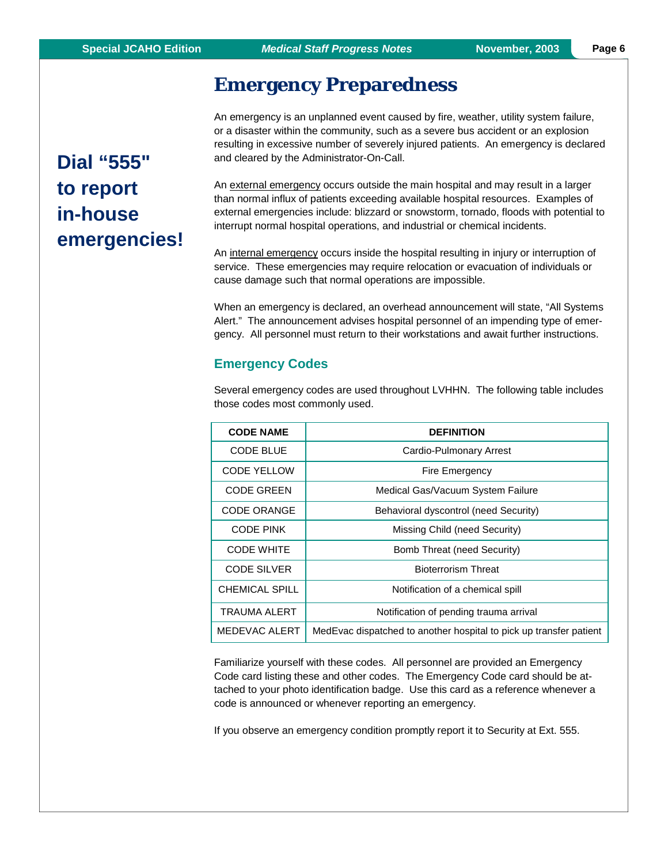# **Emergency Preparedness**

An emergency is an unplanned event caused by fire, weather, utility system failure, or a disaster within the community, such as a severe bus accident or an explosion resulting in excessive number of severely injured patients. An emergency is declared and cleared by the Administrator-On-Call.

An external emergency occurs outside the main hospital and may result in a larger than normal influx of patients exceeding available hospital resources. Examples of external emergencies include: blizzard or snowstorm, tornado, floods with potential to interrupt normal hospital operations, and industrial or chemical incidents.

An internal emergency occurs inside the hospital resulting in injury or interruption of service. These emergencies may require relocation or evacuation of individuals or cause damage such that normal operations are impossible.

When an emergency is declared, an overhead announcement will state, "All Systems Alert." The announcement advises hospital personnel of an impending type of emergency. All personnel must return to their workstations and await further instructions.

#### **Emergency Codes**

Several emergency codes are used throughout LVHHN. The following table includes those codes most commonly used.

| <b>CODE NAME</b>      | <b>DEFINITION</b>                                                  |  |
|-----------------------|--------------------------------------------------------------------|--|
| <b>CODE BLUE</b>      | Cardio-Pulmonary Arrest                                            |  |
| <b>CODE YELLOW</b>    | Fire Emergency                                                     |  |
| <b>CODE GREEN</b>     | Medical Gas/Vacuum System Failure                                  |  |
| <b>CODE ORANGE</b>    | Behavioral dyscontrol (need Security)                              |  |
| <b>CODE PINK</b>      | Missing Child (need Security)                                      |  |
| <b>CODE WHITE</b>     | Bomb Threat (need Security)                                        |  |
| <b>CODE SILVER</b>    | <b>Bioterrorism Threat</b>                                         |  |
| <b>CHEMICAL SPILL</b> | Notification of a chemical spill                                   |  |
| <b>TRAUMA ALERT</b>   | Notification of pending trauma arrival                             |  |
| MEDEVAC ALERT         | MedEvac dispatched to another hospital to pick up transfer patient |  |

Familiarize yourself with these codes. All personnel are provided an Emergency Code card listing these and other codes. The Emergency Code card should be attached to your photo identification badge. Use this card as a reference whenever a code is announced or whenever reporting an emergency.

If you observe an emergency condition promptly report it to Security at Ext. 555.

**Dial "555" to report in-house emergencies!**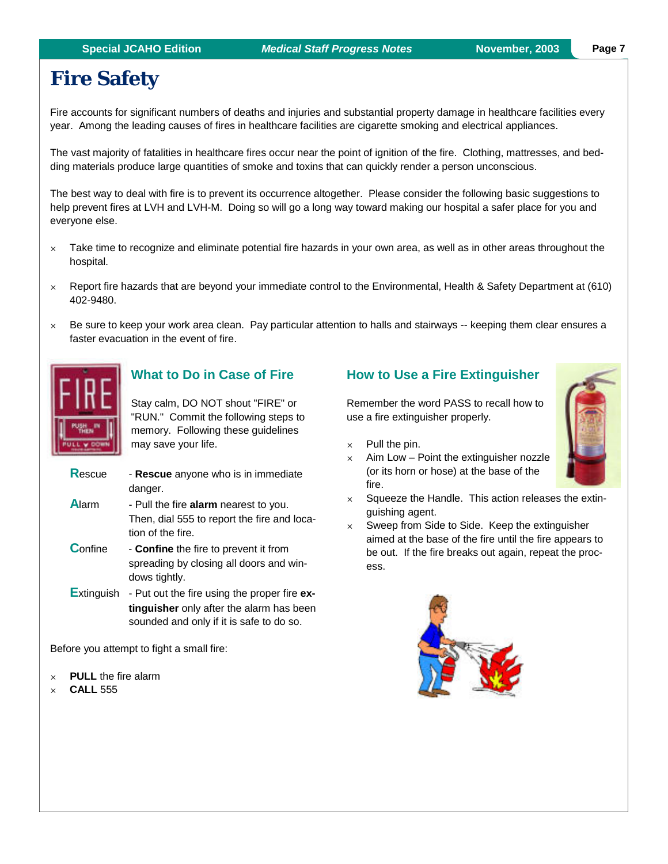# **Fire Safety**

Fire accounts for significant numbers of deaths and injuries and substantial property damage in healthcare facilities every year. Among the leading causes of fires in healthcare facilities are cigarette smoking and electrical appliances.

The vast majority of fatalities in healthcare fires occur near the point of ignition of the fire. Clothing, mattresses, and bedding materials produce large quantities of smoke and toxins that can quickly render a person unconscious.

The best way to deal with fire is to prevent its occurrence altogether. Please consider the following basic suggestions to help prevent fires at LVH and LVH-M. Doing so will go a long way toward making our hospital a safer place for you and everyone else.

- $\times$  Take time to recognize and eliminate potential fire hazards in your own area, as well as in other areas throughout the hospital.
- $\times$  Report fire hazards that are beyond your immediate control to the Environmental, Health & Safety Department at (610) 402-9480.
- $\times$  Be sure to keep your work area clean. Pay particular attention to halls and stairways -- keeping them clear ensures a faster evacuation in the event of fire.



### **What to Do in Case of Fire**

Stay calm, DO NOT shout "FIRE" or "RUN." Commit the following steps to memory. Following these guidelines may save your life.

| Rescue | - Rescue anyone who is in immediate |
|--------|-------------------------------------|
|        | danger.                             |

**A**larm - Pull the fire **alarm** nearest to you. Then, dial 555 to report the fire and location of the fire.

**Confine** - **Confine** the fire to prevent it from spreading by closing all doors and windows tightly.

**E**xtinguish - Put out the fire using the proper fire **extinguisher** only after the alarm has been sounded and only if it is safe to do so.

Before you attempt to fight a small fire:

- **PULL** the fire alarm
- **CALL** 555

### **How to Use a Fire Extinguisher**

Remember the word PASS to recall how to use a fire extinguisher properly.

 $\times$  Pull the pin.

ess.

- $\times$  Aim Low Point the extinguisher nozzle (or its horn or hose) at the base of the fire.
- $\times$  Squeeze the Handle. This action releases the extin-
- guishing agent.  $\times$  Sweep from Side to Side. Keep the extinguisher aimed at the base of the fire until the fire appears to be out. If the fire breaks out again, repeat the proc-

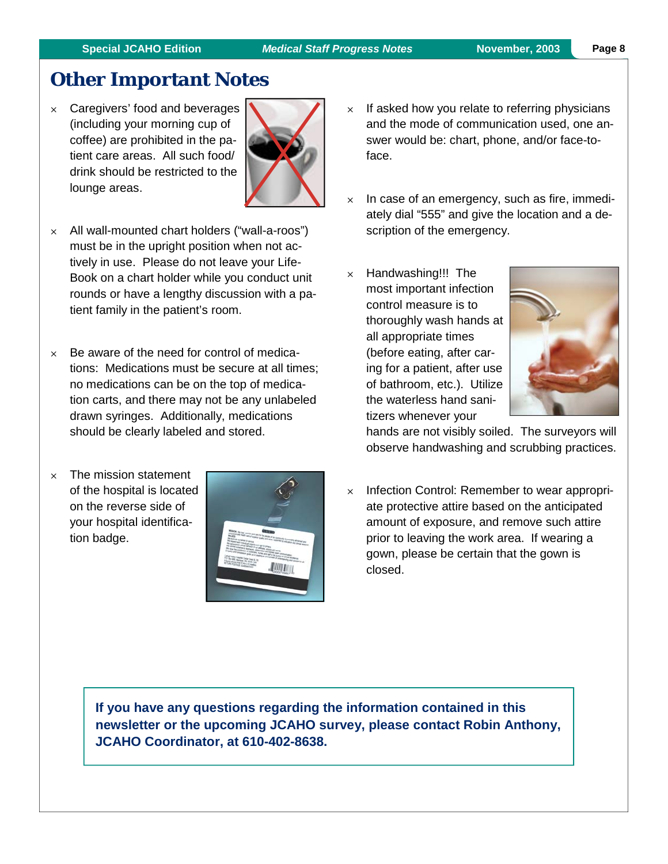# **Other Important Notes**

 $\times$  Caregivers' food and beverages (including your morning cup of coffee) are prohibited in the patient care areas. All such food/ drink should be restricted to the lounge areas.



- $\times$  All wall-mounted chart holders ("wall-a-roos") must be in the upright position when not actively in use. Please do not leave your Life-Book on a chart holder while you conduct unit rounds or have a lengthy discussion with a patient family in the patient's room.
- $\times$  Be aware of the need for control of medications: Medications must be secure at all times; no medications can be on the top of medication carts, and there may not be any unlabeled drawn syringes. Additionally, medications should be clearly labeled and stored.
- $\times$  The mission statement of the hospital is located on the reverse side of your hospital identification badge.



- $\times$  If asked how you relate to referring physicians and the mode of communication used, one answer would be: chart, phone, and/or face-toface.
- $\times$  In case of an emergency, such as fire, immediately dial "555" and give the location and a description of the emergency.
- $\times$  Handwashing!!! The most important infection control measure is to thoroughly wash hands at all appropriate times (before eating, after caring for a patient, after use of bathroom, etc.). Utilize the waterless hand sanitizers whenever your



hands are not visibly soiled. The surveyors will observe handwashing and scrubbing practices.

 $\times$  Infection Control: Remember to wear appropriate protective attire based on the anticipated amount of exposure, and remove such attire prior to leaving the work area. If wearing a gown, please be certain that the gown is closed.

**If you have any questions regarding the information contained in this newsletter or the upcoming JCAHO survey, please contact Robin Anthony, JCAHO Coordinator, at 610-402-8638.**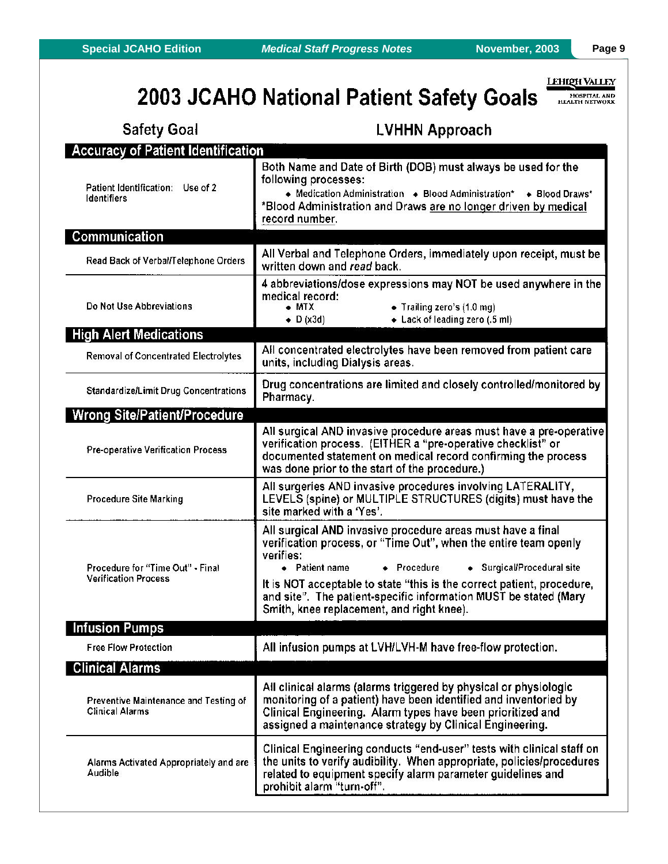## **LEHIQH VALLEY**

# 2003 JCAHO National Patient Safety Goals

HOSPITAL AND

| <b>Safety Goal</b>                                              | <b>LVHHN Approach</b>                                                                                                                                                                                                                                                                                                                                                                                  |  |  |  |  |
|-----------------------------------------------------------------|--------------------------------------------------------------------------------------------------------------------------------------------------------------------------------------------------------------------------------------------------------------------------------------------------------------------------------------------------------------------------------------------------------|--|--|--|--|
| <b>Accuracy of Patient Identification</b>                       |                                                                                                                                                                                                                                                                                                                                                                                                        |  |  |  |  |
| Patient Identification: Use of 2<br><b>Identifiers</b>          | Both Name and Date of Birth (DOB) must always be used for the<br>following processes:<br>• Medication Administration • Blood Administration* • Blood Draws*<br>*Blood Administration and Draws are no longer driven by medical<br>record number.                                                                                                                                                       |  |  |  |  |
| <b>Communication</b>                                            |                                                                                                                                                                                                                                                                                                                                                                                                        |  |  |  |  |
| Read Back of Verbal/Telephone Orders                            | All Verbal and Telephone Orders, immediately upon receipt, must be<br>written down and read back.                                                                                                                                                                                                                                                                                                      |  |  |  |  |
| Do Not Use Abbreviations                                        | 4 abbreviations/dose expressions may NOT be used anywhere in the<br>medical record:<br>• Trailing zero's (1.0 mg)<br>$\bullet$ MTX<br>$\bullet$ D (x3d)<br>• Lack of leading zero (.5 ml)                                                                                                                                                                                                              |  |  |  |  |
| <b>High Alert Medications</b>                                   |                                                                                                                                                                                                                                                                                                                                                                                                        |  |  |  |  |
| <b>Removal of Concentrated Electrolytes</b>                     | All concentrated electrolytes have been removed from patient care<br>units, including Dialysis areas.                                                                                                                                                                                                                                                                                                  |  |  |  |  |
| <b>Standardize/Limit Drug Concentrations</b>                    | Drug concentrations are limited and closely controlled/monitored by<br>Pharmacy.                                                                                                                                                                                                                                                                                                                       |  |  |  |  |
| <b>Wrong Site/Patient/Procedure</b>                             |                                                                                                                                                                                                                                                                                                                                                                                                        |  |  |  |  |
| Pre-operative Verification Process                              | All surgical AND invasive procedure areas must have a pre-operative<br>verification process. (EITHER a "pre-operative checklist" or<br>documented statement on medical record confirming the process<br>was done prior to the start of the procedure.)                                                                                                                                                 |  |  |  |  |
| <b>Procedure Site Marking</b>                                   | All surgeries AND invasive procedures involving LATERALITY,<br>LEVELS (spine) or MULTIPLE STRUCTURES (digits) must have the<br>site marked with a 'Yes'.                                                                                                                                                                                                                                               |  |  |  |  |
| Procedure for "Time Out" - Final<br><b>Verification Process</b> | All surgical AND invasive procedure areas must have a final<br>verification process, or "Time Out", when the entire team openly<br>verifies:<br>• Patient name<br>+ Procedure<br>◆ Surgical/Procedural site<br>It is NOT acceptable to state "this is the correct patient, procedure,<br>and site". The patient-specific information MUST be stated (Mary<br>Smith, knee replacement, and right knee). |  |  |  |  |
| <b>Infusion Pumps</b>                                           |                                                                                                                                                                                                                                                                                                                                                                                                        |  |  |  |  |
| <b>Free Flow Protection</b>                                     | All infusion pumps at LVH/LVH-M have free-flow protection.                                                                                                                                                                                                                                                                                                                                             |  |  |  |  |
| <b>Clinical Alarms</b>                                          |                                                                                                                                                                                                                                                                                                                                                                                                        |  |  |  |  |
| Preventive Maintenance and Testing of<br><b>Clinical Alarms</b> | All clinical alarms (alarms triggered by physical or physiologic<br>monitoring of a patient) have been identified and inventoried by<br>Clinical Engineering. Alarm types have been prioritized and<br>assigned a maintenance strategy by Clinical Engineering.                                                                                                                                        |  |  |  |  |
| Alarms Activated Appropriately and are<br>Audible               | Clinical Engineering conducts "end-user" tests with clinical staff on<br>the units to verify audibility. When appropriate, policies/procedures<br>related to equipment specify alarm parameter guidelines and<br>prohibit alarm "turn-off".                                                                                                                                                            |  |  |  |  |